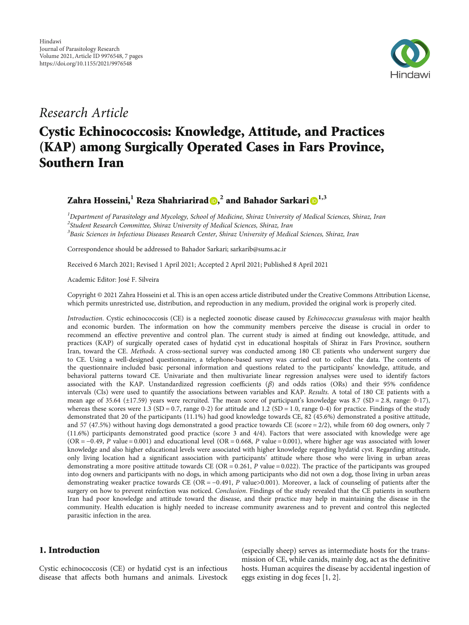

# Research Article

# Cystic Echinococcosis: Knowledge, Attitude, and Practices (KAP) among Surgically Operated Cases in Fars Province, Southern Iran

## Zahra Hosseini,**<sup>1</sup>** Reza Shahriarirad , **<sup>2</sup>** and Bahador Sarkari **[1](https://orcid.org/0000-0003-2045-9057),3**

 $^{\rm 1}$ Department of Parasitology and Mycology, School of Medicine, Shiraz University of Medical Sciences, Shiraz, Iran <sup>2</sup>Student Research Committee, Shiraz University of Medical Sciences, Shiraz, Iran  $^3$ Basic Sciences in Infectious Diseases Research Center, Shiraz University of Medical Sciences, Shiraz, Iran

Correspondence should be addressed to Bahador Sarkari; sarkarib@sums.ac.ir

Received 6 March 2021; Revised 1 April 2021; Accepted 2 April 2021; Published 8 April 2021

Academic Editor: José F. Silveira

Copyright © 2021 Zahra Hosseini et al. This is an open access article distributed under the [Creative Commons Attribution License](https://creativecommons.org/licenses/by/4.0/), which permits unrestricted use, distribution, and reproduction in any medium, provided the original work is properly cited.

Introduction. Cystic echinococcosis (CE) is a neglected zoonotic disease caused by Echinococcus granulosus with major health and economic burden. The information on how the community members perceive the disease is crucial in order to recommend an effective preventive and control plan. The current study is aimed at finding out knowledge, attitude, and practices (KAP) of surgically operated cases of hydatid cyst in educational hospitals of Shiraz in Fars Province, southern Iran, toward the CE. Methods. A cross-sectional survey was conducted among 180 CE patients who underwent surgery due to CE. Using a well-designed questionnaire, a telephone-based survey was carried out to collect the data. The contents of the questionnaire included basic personal information and questions related to the participants' knowledge, attitude, and behavioral patterns toward CE. Univariate and then multivariate linear regression analyses were used to identify factors associated with the KAP. Unstandardized regression coefficients (*β*) and odds ratios (ORs) and their 95% confidence intervals (CIs) were used to quantify the associations between variables and KAP. Results. A total of 180 CE patients with a mean age of 35.64 (±17.59) years were recruited. The mean score of participant's knowledge was 8.7 (SD = 2*:*8, range: 0-17), whereas these scores were 1.3 (SD = 0.7, range 0-2) for attitude and 1.2 (SD = 1.0, range 0-4) for practice. Findings of the study demonstrated that 20 of the participants (11.1%) had good knowledge towards CE, 82 (45.6%) demonstrated a positive attitude, and 57 (47.5%) without having dogs demonstrated a good practice towards CE (score = 2/2), while from 60 dog owners, only 7 (11.6%) participants demonstrated good practice (score 3 and 4/4). Factors that were associated with knowledge were age (OR = −0*:*49, *P* value = 0.001) and educational level (OR = 0*:*668, *P* value = 0.001), where higher age was associated with lower knowledge and also higher educational levels were associated with higher knowledge regarding hydatid cyst. Regarding attitude, only living location had a significant association with participants' attitude where those who were living in urban areas demonstrating a more positive attitude towards CE (OR = 0*:*261, *P* value = 0.022). The practice of the participants was grouped into dog owners and participants with no dogs, in which among participants who did not own a dog, those living in urban areas demonstrating weaker practice towards CE (OR = −0*:*491, *P* value>0.001). Moreover, a lack of counseling of patients after the surgery on how to prevent reinfection was noticed. Conclusion. Findings of the study revealed that the CE patients in southern Iran had poor knowledge and attitude toward the disease, and their practice may help in maintaining the disease in the community. Health education is highly needed to increase community awareness and to prevent and control this neglected parasitic infection in the area.

### 1. Introduction

Cystic echinococcosis (CE) or hydatid cyst is an infectious disease that affects both humans and animals. Livestock

(especially sheep) serves as intermediate hosts for the transmission of CE, while canids, mainly dog, act as the definitive hosts. Human acquires the disease by accidental ingestion of eggs existing in dog feces [[1](#page-5-0), [2](#page-5-0)].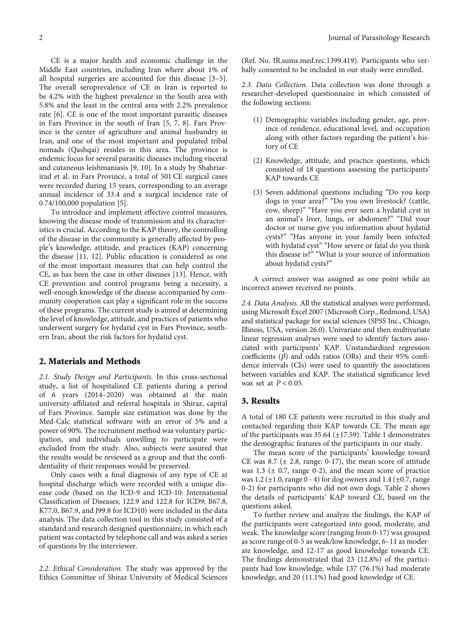CE is a major health and economic challenge in the Middle East countries, including Iran where about 1% of all hospital surgeries are accounted for this disease [[3](#page-5-0)–[5](#page-5-0)]. The overall seroprevalence of CE in Iran is reported to be 4.2% with the highest prevalence in the South area with 5.8% and the least in the central area with 2.2% prevalence rate [[6\]](#page-5-0). CE is one of the most important parasitic diseases in Fars Province in the south of Iran [[5, 7, 8](#page-5-0)]. Fars Province is the center of agriculture and animal husbandry in Iran, and one of the most important and populated tribal nomads (Qashqai) resides in this area. The province is endemic focus for several parasitic diseases including visceral and cutaneous leishmaniasis [\[9, 10](#page-5-0)]. In a study by Shahriarirad et al. in Fars Province, a total of 501 CE surgical cases were recorded during 15 years, corresponding to an average annual incidence of 33.4 and a surgical incidence rate of 0.74/100,000 population [\[5\]](#page-5-0).

To introduce and implement effective control measures, knowing the disease mode of transmission and its characteristics is crucial. According to the KAP theory, the controlling of the disease in the community is generally affected by people's knowledge, attitude, and practices (KAP) concerning the disease [\[11, 12](#page-5-0)]. Public education is considered as one of the most important measures that can help control the CE, as has been the case in other diseases [\[13\]](#page-5-0). Hence, with CE prevention and control programs being a necessity, a well-enough knowledge of the disease accompanied by community cooperation can play a significant role in the success of these programs. The current study is aimed at determining the level of knowledge, attitude, and practices of patients who underwent surgery for hydatid cyst in Fars Province, southern Iran, about the risk factors for hydatid cyst.

#### 2. Materials and Methods

2.1. Study Design and Participants. In this cross-sectional study, a list of hospitalized CE patients during a period of 6 years (2014–2020) was obtained at the main university-affiliated and referral hospitals in Shiraz, capital of Fars Province. Sample size estimation was done by the Med-Calc statistical software with an error of 5% and a power of 90%. The recruitment method was voluntary participation, and individuals unwilling to participate were excluded from the study. Also, subjects were assured that the results would be reviewed as a group and that the confidentiality of their responses would be preserved.

Only cases with a final diagnosis of any type of CE at hospital discharge which were recorded with a unique disease code (based on the ICD-9 and ICD-10: International Classification of Diseases; 122.9 and 122.8 for ICD9; B67.8, K77.0, B67.9, and J99.8 for ICD10) were included in the data analysis. The data collection tool in this study consisted of a standard and research designed questionnaire, in which each patient was contacted by telephone call and was asked a series of questions by the interviewer.

2.2. Ethical Consideration. The study was approved by the Ethics Committee of Shiraz University of Medical Sciences

(Ref. No. IR.sums.med.rec.1399.419). Participants who verbally consented to be included in our study were enrolled.

2.3. Data Collection. Data collection was done through a researcher-developed questionnaire in which consisted of the following sections:

- (1) Demographic variables including gender, age, province of residence, educational level, and occupation along with other factors regarding the patient's history of CE
- (2) Knowledge, attitude, and practice questions, which consisted of 18 questions assessing the participants' KAP towards CE
- (3) Seven additional questions including "Do you keep dogs in your area?" "Do you own livestock? (cattle, cow, sheep)" "Have you ever seen a hydatid cyst in an animal's liver, lungs, or abdomen?" "Did your doctor or nurse give you information about hydatid cysts?" "Has anyone in your family been infected with hydatid cyst" "How severe or fatal do you think this disease is?" "What is your source of information about hydatid cysts?"

A correct answer was assigned as one point while an incorrect answer received no points.

2.4. Data Analysis. All the statistical analyses were performed, using Microsoft Excel 2007 (Microsoft Corp., Redmond, USA) and statistical package for social sciences (SPSS Inc., Chicago, Illinois, USA, version 26.0). Univariate and then multivariate linear regression analyses were used to identify factors associated with participants' KAP. Unstandardized regression coefficients (*β*) and odds ratios (ORs) and their 95% confidence intervals (CIs) were used to quantify the associations between variables and KAP. The statistical significance level was set at *P* < 0*:*05.

#### 3. Results

A total of 180 CE patients were recruited in this study and contacted regarding their KAP towards CE. The mean age of the participants was  $35.64 \ (\pm 17.59)$  $35.64 \ (\pm 17.59)$  $35.64 \ (\pm 17.59)$ . Table 1 demonstrates the demographic features of the participants in our study.

The mean score of the participants' knowledge toward CE was 8.7 ( $\pm$  2.8, range: 0-17), the mean score of attitude was 1.3 ( $\pm$  0.7, range 0-2), and the mean score of practice was 1.2 ( $\pm$ 1.0, range 0 - 4) for dog owners and 1.4 ( $\pm$ 0.7, range 0-2) for participants who did not own dogs. Table [2](#page-3-0) shows the details of participants' KAP toward CE, based on the questions asked.

To further review and analyze the findings, the KAP of the participants were categorized into good, moderate, and weak. The knowledge score (ranging from 0-17) was grouped as score range of 0-5 as weak/low knowledge, 6–11 as moderate knowledge, and 12-17 as good knowledge towards CE. The findings demonstrated that 23 (12.8%) of the participants had low knowledge, while 137 (76.1%) had moderate knowledge, and 20 (11.1%) had good knowledge of CE.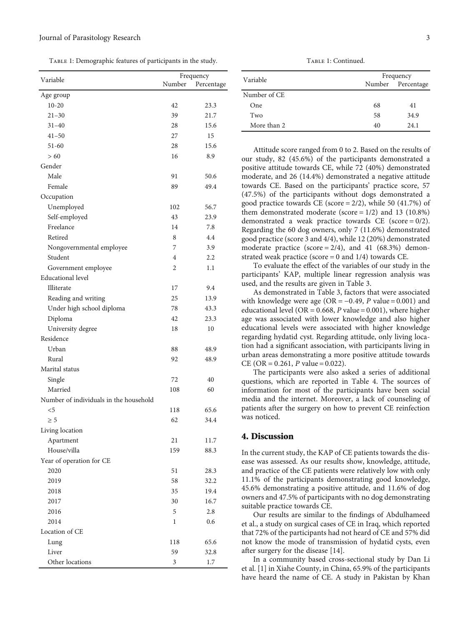<span id="page-2-0"></span>Table 1: Demographic features of participants in the study.

|                                        | Frequency      |            |  |
|----------------------------------------|----------------|------------|--|
| Variable                               | Number         | Percentage |  |
| Age group                              |                |            |  |
| $10 - 20$                              | 42             | 23.3       |  |
| $21 - 30$                              | 39             | 21.7       |  |
| $31 - 40$                              | 28             | 15.6       |  |
| $41 - 50$                              | 27             | 15         |  |
| 51-60                                  | 28             | 15.6       |  |
| > 60                                   | 16             | 8.9        |  |
| Gender                                 |                |            |  |
| Male                                   | 91             | 50.6       |  |
| Female                                 | 89             | 49.4       |  |
| Occupation                             |                |            |  |
| Unemployed                             | 102            | 56.7       |  |
| Self-employed                          | 43             | 23.9       |  |
| Freelance                              | 14             | 7.8        |  |
| Retired                                | 8              | 4.4        |  |
| Nongovernmental employee               | 7              | 3.9        |  |
| Student                                | $\overline{4}$ | 2.2        |  |
| Government employee                    | 2              | 1.1        |  |
| <b>Educational</b> level               |                |            |  |
| Illiterate                             | 17             | 9.4        |  |
| Reading and writing                    | 25             | 13.9       |  |
| Under high school diploma              | 78             | 43.3       |  |
| Diploma                                | 42             | 23.3       |  |
| University degree                      | 18             | 10         |  |
| Residence                              |                |            |  |
| Urban                                  | 88             | 48.9       |  |
| Rural                                  | 92             | 48.9       |  |
| Marital status                         |                |            |  |
| Single                                 | 72             | 40         |  |
| Married                                | 108            | 60         |  |
| Number of individuals in the household |                |            |  |
| $<$ 5                                  | 118            | 65.6       |  |
| $\geq 5$                               | 62             | 34.4       |  |
| Living location                        |                |            |  |
| Apartment                              | 21             | 11.7       |  |
| House/villa                            | 159            | 88.3       |  |
| Year of operation for CE               |                |            |  |
| 2020                                   | 51             | 28.3       |  |
| 2019                                   | 58             | 32.2       |  |
| 2018                                   | 35             | 19.4       |  |
| 2017                                   | 30             | 16.7       |  |
| 2016                                   | 5              | 2.8        |  |
| 2014                                   | 1              | 0.6        |  |
| Location of CE                         |                |            |  |
| Lung                                   | 118            | 65.6       |  |
| Liver                                  | 59             | 32.8       |  |
| Other locations                        | 3              | 1.7        |  |
|                                        |                |            |  |

Table 1: Continued.

| Variable     | Frequency |                   |  |  |
|--------------|-----------|-------------------|--|--|
|              |           | Number Percentage |  |  |
| Number of CE |           |                   |  |  |
| <b>One</b>   | 68        | 41                |  |  |
| Two          | 58        | 34.9              |  |  |
| More than 2  | 40        | 24.1              |  |  |

Attitude score ranged from 0 to 2. Based on the results of our study, 82 (45.6%) of the participants demonstrated a positive attitude towards CE, while 72 (40%) demonstrated moderate, and 26 (14.4%) demonstrated a negative attitude towards CE. Based on the participants' practice score, 57 (47.5%) of the participants without dogs demonstrated a good practice towards CE (score = 2/2), while 50 (41.7%) of them demonstrated moderate (score =  $1/2$ ) and 13 (10.8%) demonstrated a weak practice towards CE (score =  $0/2$ ). Regarding the 60 dog owners, only 7 (11.6%) demonstrated good practice (score 3 and 4/4), while 12 (20%) demonstrated moderate practice (score  $= 2/4$ ), and 41 (68.3%) demonstrated weak practice (score  $= 0$  and  $1/4$ ) towards CE.

To evaluate the effect of the variables of our study in the participants' KAP, multiple linear regression analysis was used, and the results are given in Table [3.](#page-4-0)

As demonstrated in Table [3](#page-4-0), factors that were associated with knowledge were age (OR = −0*:*49, *P* value = 0.001) and educational level (OR = 0*:*668, *P* value = 0.001), where higher age was associated with lower knowledge and also higher educational levels were associated with higher knowledge regarding hydatid cyst. Regarding attitude, only living location had a significant association, with participants living in urban areas demonstrating a more positive attitude towards CE (OR =  $0.261$ , *P* value = 0.022).

The participants were also asked a series of additional questions, which are reported in Table [4](#page-4-0). The sources of information for most of the participants have been social media and the internet. Moreover, a lack of counseling of patients after the surgery on how to prevent CE reinfection was noticed.

#### 4. Discussion

In the current study, the KAP of CE patients towards the disease was assessed. As our results show, knowledge, attitude, and practice of the CE patients were relatively low with only 11.1% of the participants demonstrating good knowledge, 45.6% demonstrating a positive attitude, and 11.6% of dog owners and 47.5% of participants with no dog demonstrating suitable practice towards CE.

Our results are similar to the findings of Abdulhameed et al., a study on surgical cases of CE in Iraq, which reported that 72% of the participants had not heard of CE and 57% did not know the mode of transmission of hydatid cysts, even after surgery for the disease [[14](#page-5-0)].

In a community based cross-sectional study by Dan Li et al. [[1\]](#page-5-0) in Xiahe County, in China, 65.9% of the participants have heard the name of CE. A study in Pakistan by Khan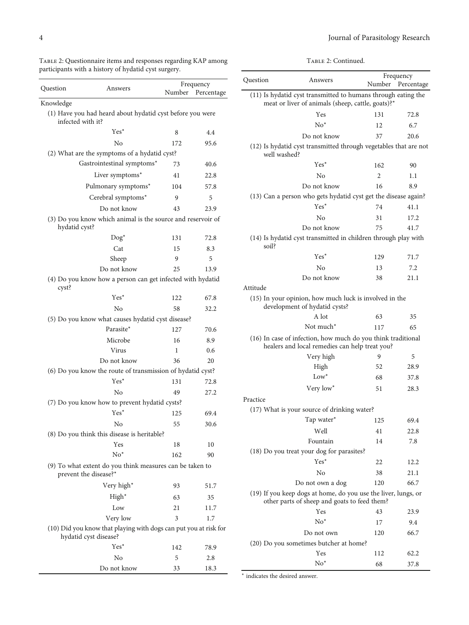<span id="page-3-0"></span>

| TABLE 2: Questionnaire items and responses regarding KAP among |  |  |  |
|----------------------------------------------------------------|--|--|--|
| participants with a history of hydatid cyst surgery.           |  |  |  |

| Question          | Answers                                                                                   | Number | Frequency<br>Percentage |
|-------------------|-------------------------------------------------------------------------------------------|--------|-------------------------|
| Knowledge         |                                                                                           |        |                         |
| infected with it? | (1) Have you had heard about hydatid cyst before you were                                 |        |                         |
|                   | $Yes^*$                                                                                   | 8      | 4.4                     |
|                   | No                                                                                        | 172    | 95.6                    |
|                   | (2) What are the symptoms of a hydatid cyst?                                              |        |                         |
|                   | Gastrointestinal symptoms*                                                                | 73     | 40.6                    |
|                   | Liver symptoms*                                                                           | 41     | 22.8                    |
|                   | Pulmonary symptoms*                                                                       | 104    | 57.8                    |
|                   | Cerebral symptoms*                                                                        | 9      | 5                       |
|                   | Do not know                                                                               | 43     | 23.9                    |
| hydatid cyst?     | (3) Do you know which animal is the source and reservoir of                               |        |                         |
|                   | $\text{Dog}^*$                                                                            | 131    | 72.8                    |
|                   | Cat                                                                                       | 15     | 8.3                     |
|                   | Sheep                                                                                     | 9      | 5                       |
|                   | Do not know                                                                               | 25     | 13.9                    |
| cyst?             | (4) Do you know how a person can get infected with hydatid                                |        |                         |
|                   | $Yes^*$                                                                                   | 122    | 67.8                    |
|                   | N <sub>0</sub>                                                                            | 58     | 32.2                    |
|                   | (5) Do you know what causes hydatid cyst disease?                                         |        |                         |
|                   | Parasite*                                                                                 | 127    | 70.6                    |
|                   | Microbe                                                                                   | 16     | 8.9                     |
|                   | Virus                                                                                     | 1      | 0.6                     |
|                   | Do not know                                                                               | 36     | 20                      |
|                   | (6) Do you know the route of transmission of hydatid cyst?<br>$Yes^*$                     |        |                         |
|                   |                                                                                           | 131    | 72.8                    |
|                   | N <sub>0</sub>                                                                            | 49     | 27.2                    |
|                   | (7) Do you know how to prevent hydatid cysts?<br>Yes*                                     | 125    | 69.4                    |
|                   | No                                                                                        | 55     | 30.6                    |
|                   | (8) Do you think this disease is heritable?                                               |        |                         |
|                   | Yes                                                                                       | 18     | 10                      |
|                   | $No*$                                                                                     | 162    | 90                      |
|                   | (9) To what extent do you think measures can be taken to<br>prevent the disease?*         |        |                         |
|                   | Very high*                                                                                | 93     | 51.7                    |
|                   | High*                                                                                     | 63     | 35                      |
|                   | Low                                                                                       | 21     | 11.7                    |
|                   | Very low                                                                                  | 3      | 1.7                     |
|                   | (10) Did you know that playing with dogs can put you at risk for<br>hydatid cyst disease? |        |                         |
|                   | $Yes^*$                                                                                   | 142    | 78.9                    |
|                   | No                                                                                        | 5      | 2.8                     |
|                   | Do not know                                                                               | 33     | 18.3                    |

|  | Тавье 2: Continued. |
|--|---------------------|
|  |                     |
|  |                     |
|  |                     |
|  |                     |

| Question     | Answers                                                                                                            | Number | Frequency<br>Percentage |  |
|--------------|--------------------------------------------------------------------------------------------------------------------|--------|-------------------------|--|
|              | (11) Is hydatid cyst transmitted to humans through eating the<br>meat or liver of animals (sheep, cattle, goats)?* |        |                         |  |
|              | Yes                                                                                                                | 131    | 72.8                    |  |
|              | $No*$                                                                                                              | 12     | 6.7                     |  |
|              | Do not know                                                                                                        | 37     | 20.6                    |  |
| well washed? | (12) Is hydatid cyst transmitted through vegetables that are not                                                   |        |                         |  |
|              | $Yes*$                                                                                                             | 162    | 90                      |  |
|              | $\overline{N}$                                                                                                     | 2      | 1.1                     |  |
|              | Do not know                                                                                                        | 16     | 8.9                     |  |
|              | (13) Can a person who gets hydatid cyst get the disease again?                                                     |        |                         |  |
|              | $Yes^*$                                                                                                            | 74     | 41.1                    |  |
|              | No                                                                                                                 | 31     | 17.2                    |  |
|              | Do not know                                                                                                        | 75     | 41.7                    |  |
| soil?        | (14) Is hydatid cyst transmitted in children through play with                                                     |        |                         |  |
|              | $Yes^*$                                                                                                            | 129    | 71.7                    |  |
|              | No                                                                                                                 | 13     | 7.2                     |  |
|              | Do not know                                                                                                        | 38     | 21.1                    |  |
| Attitude     |                                                                                                                    |        |                         |  |
|              | (15) In your opinion, how much luck is involved in the<br>development of hydatid cysts?                            |        |                         |  |
|              | A lot                                                                                                              | 63     | 35                      |  |
|              | Not much <sup>*</sup>                                                                                              | 117    | 65                      |  |
|              | (16) In case of infection, how much do you think traditional<br>healers and local remedies can help treat you?     |        |                         |  |
|              | Very high                                                                                                          | 9      | 5                       |  |
|              | High                                                                                                               | 52     | 28.9                    |  |
|              | $Low^*$                                                                                                            | 68     | 37.8                    |  |
|              | Very low*                                                                                                          | 51     | 28.3                    |  |
| Practice     |                                                                                                                    |        |                         |  |
|              | (17) What is your source of drinking water?                                                                        |        |                         |  |
|              | Tap water*                                                                                                         | 125    | 69.4                    |  |
|              | Well                                                                                                               | 41     | 22.8                    |  |
|              | Fountain                                                                                                           | 14     | 7.8                     |  |
|              | (18) Do you treat your dog for parasites?                                                                          |        |                         |  |
|              | $Yes^*$                                                                                                            | 22     | 12.2                    |  |
|              | No                                                                                                                 | 38     | 21.1                    |  |
|              | Do not own a dog                                                                                                   | 120    | 66.7                    |  |
|              | (19) If you keep dogs at home, do you use the liver, lungs, or<br>other parts of sheep and goats to feed them?     |        |                         |  |
|              | Yes                                                                                                                | 43     | 23.9                    |  |
|              | $\mathrm{No}^*$                                                                                                    | 17     | 9.4                     |  |
|              | Do not own                                                                                                         | 120    | 66.7                    |  |
|              | (20) Do you sometimes butcher at home?                                                                             |        |                         |  |
|              | Yes                                                                                                                | 112    | 62.2                    |  |
|              | $No*$                                                                                                              | 68     | 37.8                    |  |

<sup>∗</sup> indicates the desired answer.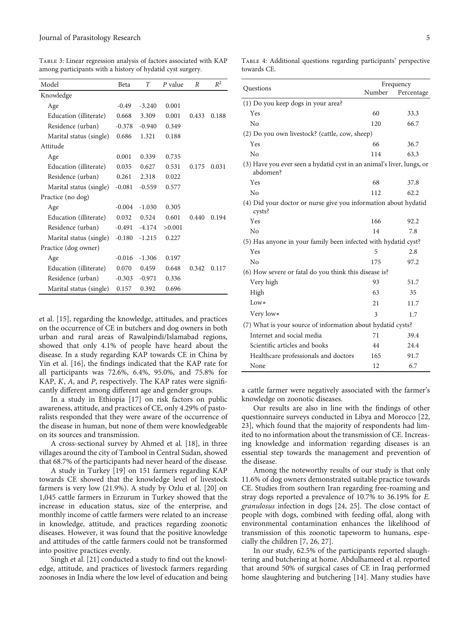| Model                   | Beta     | T        | P value | R     | $R^2$ |
|-------------------------|----------|----------|---------|-------|-------|
| Knowledge               |          |          |         |       |       |
| Age                     | $-0.49$  | $-3.240$ | 0.001   |       |       |
| Education (illiterate)  | 0.668    | 3.309    | 0.001   | 0.433 | 0.188 |
| Residence (urban)       | $-0.378$ | $-0.940$ | 0.349   |       |       |
| Marital status (single) | 0.686    | 1.321    | 0.188   |       |       |
| Attitude                |          |          |         |       |       |
| Age                     | 0.001    | 0.339    | 0.735   |       |       |
| Education (illiterate)  | 0.035    | 0.627    | 0.531   | 0.175 | 0.031 |
| Residence (urban)       | 0.261    | 2.318    | 0.022   |       |       |
| Marital status (single) | $-0.081$ | $-0.559$ | 0.577   |       |       |
| Practice (no dog)       |          |          |         |       |       |
| Age                     | $-0.004$ | $-1.030$ | 0.305   |       |       |
| Education (illiterate)  | 0.032    | 0.524    | 0.601   | 0.440 | 0.194 |
| Residence (urban)       | $-0.491$ | $-4.174$ | >0.001  |       |       |
| Marital status (single) | $-0.180$ | $-1.215$ | 0.227   |       |       |
| Practice (dog owner)    |          |          |         |       |       |
| Age                     | $-0.016$ | $-1.306$ | 0.197   |       |       |
| Education (illiterate)  | 0.070    | 0.459    | 0.648   | 0.342 | 0.117 |
| Residence (urban)       | $-0.303$ | $-0.971$ | 0.336   |       |       |
| Marital status (single) | 0.157    | 0.392    | 0.696   |       |       |

<span id="page-4-0"></span>Table 3: Linear regression analysis of factors associated with KAP among participants with a history of hydatid cyst surgery.

et al. [[15](#page-5-0)], regarding the knowledge, attitudes, and practices on the occurrence of CE in butchers and dog owners in both urban and rural areas of Rawalpindi/Islamabad regions, showed that only 4.1% of people have heard about the disease. In a study regarding KAP towards CE in China by Yin et al. [[16](#page-6-0)], the findings indicated that the KAP rate for all participants was 72.6%, 6.4%, 95.0%, and 75.8% for KAP, *K*, *A*, and *P*, respectively. The KAP rates were significantly different among different age and gender groups.

In a study in Ethiopia [[17\]](#page-6-0) on risk factors on public awareness, attitude, and practices of CE, only 4.29% of pastoralists responded that they were aware of the occurrence of the disease in human, but none of them were knowledgeable on its sources and transmission.

A cross-sectional survey by Ahmed et al. [\[18\]](#page-6-0), in three villages around the city of Tambool in Central Sudan, showed that 68.7% of the participants had never heard of the disease.

A study in Turkey [[19](#page-6-0)] on 151 farmers regarding KAP towards CE showed that the knowledge level of livestock farmers is very low (21.9%). A study by Ozlu et al. [\[20\]](#page-6-0) on 1,045 cattle farmers in Erzurum in Turkey showed that the increase in education status, size of the enterprise, and monthly income of cattle farmers were related to an increase in knowledge, attitude, and practices regarding zoonotic diseases. However, it was found that the positive knowledge and attitudes of the cattle farmers could not be transformed into positive practices evenly.

Singh et al. [\[21\]](#page-6-0) conducted a study to find out the knowledge, attitude, and practices of livestock farmers regarding zoonoses in India where the low level of education and being

Questions Frequency Percentage (1) Do you keep dogs in your area? Yes 60 33.3 No 120 66.7 (2) Do you own livestock? (cattle, cow, sheep) Yes 66 36.7 No 114 63.3 (3) Have you ever seen a hydatid cyst in an animal's liver, lungs, or abdomen? Yes 68 37.8 No 112 62.2 (4) Did your doctor or nurse give you information about hydatid cysts? Yes 166 92.2 No 14 7.8 (5) Has anyone in your family been infected with hydatid cyst?  $Yes$  5 2.8 No 175 97.2 (6) How severe or fatal do you think this disease is? Very high 93 51.7 High 63 35  $Low*$  21 11.7 Very low∗ 3 1.7 (7) What is your source of information about hydatid cysts? Internet and social media  $71$  39.4 Scientific articles and books 44 24.4 Healthcare professionals and doctors 165 91.7 None 12 6.7

Table 4: Additional questions regarding participants' perspective towards CE.

a cattle farmer were negatively associated with the farmer's knowledge on zoonotic diseases.

Our results are also in line with the findings of other questionnaire surveys conducted in Libya and Morocco [\[22,](#page-6-0) [23\]](#page-6-0), which found that the majority of respondents had limited to no information about the transmission of CE. Increasing knowledge and information regarding diseases is an essential step towards the management and prevention of the disease.

Among the noteworthy results of our study is that only 11.6% of dog owners demonstrated suitable practice towards CE. Studies from southern Iran regarding free-roaming and stray dogs reported a prevalence of 10.7% to 36.19% for E. granulosus infection in dogs [[24](#page-6-0), [25\]](#page-6-0). The close contact of people with dogs, combined with feeding offal, along with environmental contamination enhances the likelihood of transmission of this zoonotic tapeworm to humans, especially the children [[7,](#page-5-0) [26](#page-6-0), [27\]](#page-6-0).

In our study, 62.5% of the participants reported slaughtering and butchering at home. Abdulhameed et al. reported that around 50% of surgical cases of CE in Iraq performed home slaughtering and butchering [[14](#page-5-0)]. Many studies have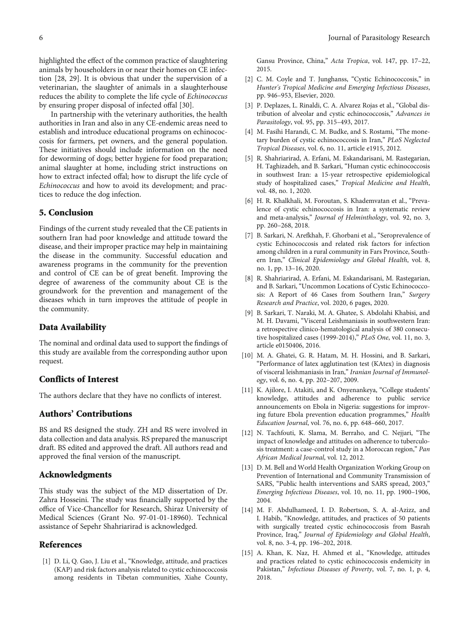<span id="page-5-0"></span>highlighted the effect of the common practice of slaughtering animals by householders in or near their homes on CE infection [\[28, 29](#page-6-0)]. It is obvious that under the supervision of a veterinarian, the slaughter of animals in a slaughterhouse reduces the ability to complete the life cycle of Echinococcus by ensuring proper disposal of infected offal [[30](#page-6-0)].

In partnership with the veterinary authorities, the health authorities in Iran and also in any CE-endemic areas need to establish and introduce educational programs on echinococcosis for farmers, pet owners, and the general population. These initiatives should include information on the need for deworming of dogs; better hygiene for food preparation; animal slaughter at home, including strict instructions on how to extract infected offal; how to disrupt the life cycle of Echinococcus and how to avoid its development; and practices to reduce the dog infection.

#### 5. Conclusion

Findings of the current study revealed that the CE patients in southern Iran had poor knowledge and attitude toward the disease, and their improper practice may help in maintaining the disease in the community. Successful education and awareness programs in the community for the prevention and control of CE can be of great benefit. Improving the degree of awareness of the community about CE is the groundwork for the prevention and management of the diseases which in turn improves the attitude of people in the community.

#### Data Availability

The nominal and ordinal data used to support the findings of this study are available from the corresponding author upon request.

#### Conflicts of Interest

The authors declare that they have no conflicts of interest.

### Authors' Contributions

BS and RS designed the study. ZH and RS were involved in data collection and data analysis. RS prepared the manuscript draft. BS edited and approved the draft. All authors read and approved the final version of the manuscript.

#### Acknowledgments

This study was the subject of the MD dissertation of Dr. Zahra Hosseini. The study was financially supported by the office of Vice-Chancellor for Research, Shiraz University of Medical Sciences (Grant No. 97-01-01-18960). Technical assistance of Sepehr Shahriarirad is acknowledged.

#### References

[1] D. Li, Q. Gao, J. Liu et al., "Knowledge, attitude, and practices (KAP) and risk factors analysis related to cystic echinococcosis among residents in Tibetan communities, Xiahe County, Gansu Province, China," Acta Tropica, vol. 147, pp. 17–22, 2015.

- [2] C. M. Coyle and T. Junghanss, "Cystic Echinococcosis," in Hunter's Tropical Medicine and Emerging Infectious Diseases, pp. 946–953, Elsevier, 2020.
- [3] P. Deplazes, L. Rinaldi, C. A. Alvarez Rojas et al., "Global distribution of alveolar and cystic echinococcosis," Advances in Parasitology, vol. 95, pp. 315–493, 2017.
- [4] M. Fasihi Harandi, C. M. Budke, and S. Rostami, "The monetary burden of cystic echinococcosis in Iran," PLoS Neglected Tropical Diseases, vol. 6, no. 11, article e1915, 2012.
- [5] R. Shahriarirad, A. Erfani, M. Eskandarisani, M. Rastegarian, H. Taghizadeh, and B. Sarkari, "Human cystic echinococcosis in southwest Iran: a 15-year retrospective epidemiological study of hospitalized cases," Tropical Medicine and Health, vol. 48, no. 1, 2020.
- [6] H. R. Khalkhali, M. Foroutan, S. Khademvatan et al., "Prevalence of cystic echinococcosis in Iran: a systematic review and meta-analysis," Journal of Helminthology, vol. 92, no. 3, pp. 260–268, 2018.
- [7] B. Sarkari, N. Arefkhah, F. Ghorbani et al., "Seroprevalence of cystic Echinococcosis and related risk factors for infection among children in a rural community in Fars Province, Southern Iran," Clinical Epidemiology and Global Health, vol. 8, no. 1, pp. 13–16, 2020.
- [8] R. Shahriarirad, A. Erfani, M. Eskandarisani, M. Rastegarian, and B. Sarkari, "Uncommon Locations of Cystic Echinococcosis: A Report of 46 Cases from Southern Iran," Surgery Research and Practice, vol. 2020, 6 pages, 2020.
- [9] B. Sarkari, T. Naraki, M. A. Ghatee, S. Abdolahi Khabisi, and M. H. Davami, "Visceral Leishmaniasis in southwestern Iran: a retrospective clinico-hematological analysis of 380 consecutive hospitalized cases (1999-2014)," PLoS One, vol. 11, no. 3, article e0150406, 2016.
- [10] M. A. Ghatei, G. R. Hatam, M. H. Hossini, and B. Sarkari, "Performance of latex agglutination test (KAtex) in diagnosis of visceral leishmaniasis in Iran," Iranian Journal of Immunology, vol. 6, no. 4, pp. 202–207, 2009.
- [11] K. Ajilore, I. Atakiti, and K. Onyenankeya, "College students' knowledge, attitudes and adherence to public service announcements on Ebola in Nigeria: suggestions for improving future Ebola prevention education programmes," Health Education Journal, vol. 76, no. 6, pp. 648–660, 2017.
- [12] N. Tachfouti, K. Slama, M. Berraho, and C. Nejjari, "The impact of knowledge and attitudes on adherence to tuberculosis treatment: a case-control study in a Moroccan region," Pan African Medical Journal, vol. 12, 2012.
- [13] D. M. Bell and World Health Organization Working Group on Prevention of International and Community Transmission of SARS, "Public health interventions and SARS spread, 2003," Emerging Infectious Diseases, vol. 10, no. 11, pp. 1900–1906, 2004.
- [14] M. F. Abdulhameed, I. D. Robertson, S. A. al-Azizz, and I. Habib, "Knowledge, attitudes, and practices of 50 patients with surgically treated cystic echinococcosis from Basrah Province, Iraq," Journal of Epidemiology and Global Health, vol. 8, no. 3-4, pp. 196–202, 2018.
- [15] A. Khan, K. Naz, H. Ahmed et al., "Knowledge, attitudes and practices related to cystic echinococcosis endemicity in Pakistan," Infectious Diseases of Poverty, vol. 7, no. 1, p. 4, 2018.